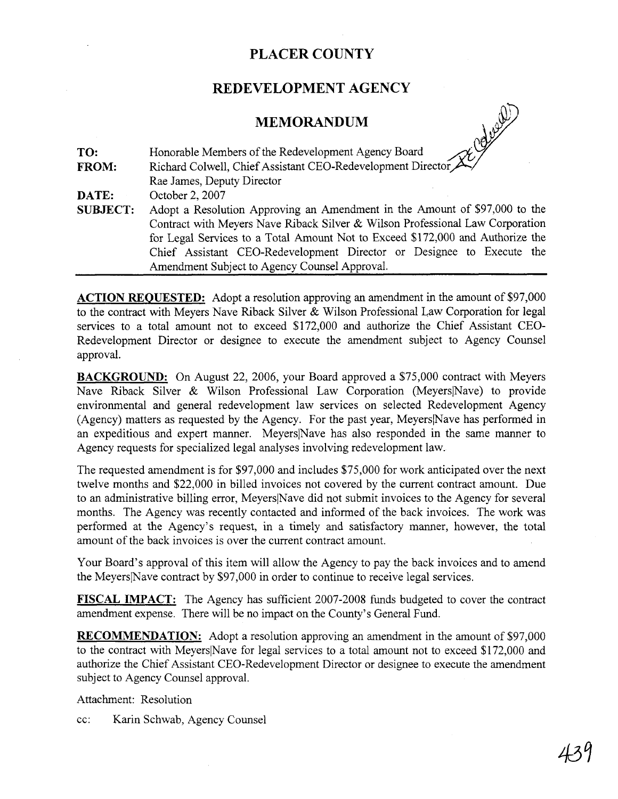## **PLACER COUNTY**

### **REDEVELOPMENT AGENCY**

#### **MEMORANDUM**



**ACTION REOUESTED:** Adopt a resolution approving an amendment in the amount of \$97,000 to the contract with Meyers Nave Riback Silver & Wilson Professional Law Corporation for legal services to a total amount not to exceed \$172,000 and authorize the Chief Assistant CEO-Redevelopment Director or designee to execute the amendment subject to Agency Counsel approval.

**BACKGROUND:** On August 22, 2006, your Board approved a \$75,000 contract with Meyers Nave Riback Silver & Wilson Professional Law Corporation (Meyers Nave) to provide environmental and general redevelopment law services on selected Redevelopment Agency (Agency) matters as requested by the Agency. For the past year, MeyerslNave has performed in an expeditious and expert manner. MeyerslNave has also responded in the same manner to Agency requests for specialized legal analyses involving redevelopment law.

The requested amendment is for \$97,000 and includes \$75,000 for work anticipated over the next twelve months and \$22,000 in billed invoices not covered by the current contract amount. Due to an administrative billing error, MeyerslNave did not submit invoices to the Agency for several months. The Agency was recently contacted and informed of the back invoices. The work was performed at the Agency's request, in a timely and satisfactory manner, however, the total amount of the back invoices is over the current contract amount.

Your Board's approval of this item will allow the Agency to pay the back invoices and to amend the MeyerslNave contract by \$97,000 in order to continue to receive legal services.

**FISCAL IMPACT:** The Agency has sufficient 2007-2008 funds budgeted to cover the contract amendment expense. There will be no impact on the County's General Fund.

**RECOMMENDATION:** Adopt a resolution approving an amendment in the amount of \$97,000 to the contract with MeyerslNave for legal services to a total amount not to exceed \$172,000 and authorize the Chief Assistant CEO-Redevelopment Director or designee to execute the amendment subject to Agency Counsel approval.

Attachment: Resolution

cc: Karin Schwab, Agency Counsel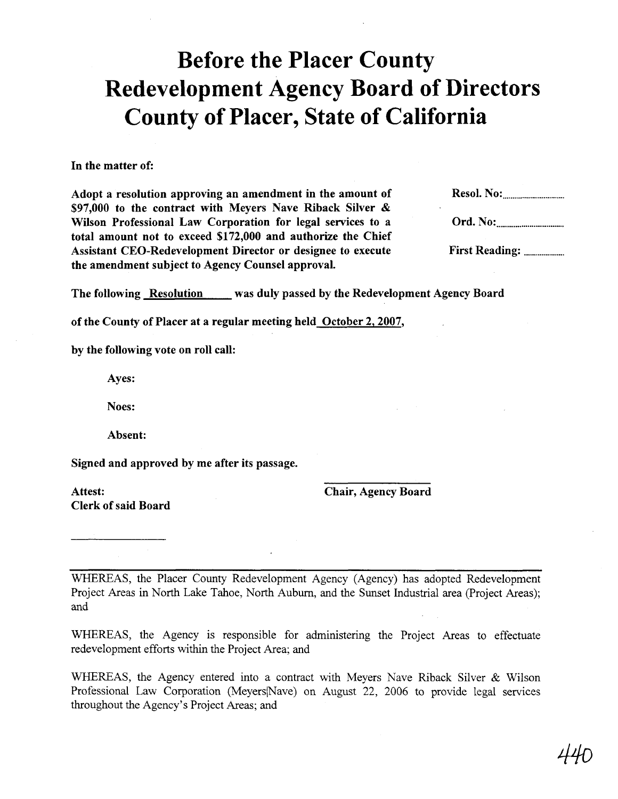# Before the Placer County Redevelopment Agency Board of Directors County of Placer, State of California

#### In the matter of:

Adopt a resolution approving an amendment in the amount of Resol. No: ................................ \$97,000 to the contract with Meyers Nave Riback Silver & Wilson Professional Law Corporation for legal services to a Ord. No: ................................... total amount not to exceed \$172,000 and authorize the Chief Assistant CEO-Redevelopment Director or designee to execute First Reading: ......................... the amendment subject to Agency Counsel approval.

The following Resolution was duly passed by the Redevelopment Agency Board

of the County of Placer at a regular meeting held October 2,2007,

by the following vote on roll call:

Ayes:

Noes:

Absent:

Signed and approved by me after its passage.

Attest: Clerk of said Board Chair, Agency Board

WHEREAS, the Placer County Redevelopment Agency (Agency) has adopted Redevelopment Project Areas in North Lake Tahoe, North Auburn, and the Sunset Industrial area (Project Areas); and

WHEREAS, the Agency is responsible for administering the Project Areas to effectuate redevelopment efforts within the Project Area; and

WHEREAS, the Agency entered into a contract with Meyers Nave Riback Silver & Wilson Professional Law Corporation (Meyers|Nave) on August 22, 2006 to provide legal services throughout the Agency's Project Areas; and